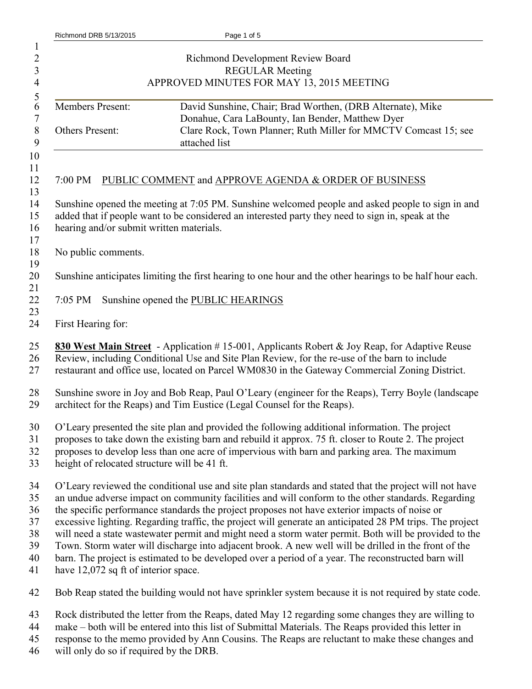| Richmond DRB 5/13/2015                                                                         | Page 1 of 5                                                                                              |
|------------------------------------------------------------------------------------------------|----------------------------------------------------------------------------------------------------------|
|                                                                                                |                                                                                                          |
|                                                                                                | Richmond Development Review Board                                                                        |
|                                                                                                | <b>REGULAR Meeting</b>                                                                                   |
|                                                                                                | APPROVED MINUTES FOR MAY 13, 2015 MEETING                                                                |
| Members Present:                                                                               | David Sunshine, Chair; Brad Worthen, (DRB Alternate), Mike                                               |
|                                                                                                | Donahue, Cara LaBounty, Ian Bender, Matthew Dyer                                                         |
| Others Present:                                                                                | Clare Rock, Town Planner; Ruth Miller for MMCTV Comcast 15; see                                          |
|                                                                                                | attached list                                                                                            |
|                                                                                                |                                                                                                          |
| 7:00 PM                                                                                        | PUBLIC COMMENT and APPROVE AGENDA & ORDER OF BUSINESS                                                    |
|                                                                                                | Sunshine opened the meeting at 7:05 PM. Sunshine welcomed people and asked people to sign in and         |
|                                                                                                | added that if people want to be considered an interested party they need to sign in, speak at the        |
| hearing and/or submit written materials.                                                       |                                                                                                          |
|                                                                                                |                                                                                                          |
| No public comments.                                                                            |                                                                                                          |
|                                                                                                |                                                                                                          |
|                                                                                                | Sunshine anticipates limiting the first hearing to one hour and the other hearings to be half hour each. |
|                                                                                                |                                                                                                          |
| 7:05 PM                                                                                        | Sunshine opened the PUBLIC HEARINGS                                                                      |
|                                                                                                |                                                                                                          |
| First Hearing for:                                                                             |                                                                                                          |
|                                                                                                | 830 West Main Street - Application #15-001, Applicants Robert & Joy Reap, for Adaptive Reuse             |
|                                                                                                |                                                                                                          |
|                                                                                                | Review, including Conditional Use and Site Plan Review, for the re-use of the barn to include            |
|                                                                                                | restaurant and office use, located on Parcel WM0830 in the Gateway Commercial Zoning District.           |
|                                                                                                | Sunshine swore in Joy and Bob Reap, Paul O'Leary (engineer for the Reaps), Terry Boyle (landscape        |
|                                                                                                | architect for the Reaps) and Tim Eustice (Legal Counsel for the Reaps).                                  |
|                                                                                                |                                                                                                          |
| O'Leary presented the site plan and provided the following additional information. The project |                                                                                                          |
|                                                                                                | proposes to take down the existing barn and rebuild it approx. 75 ft. closer to Route 2. The project     |
| proposes to develop less than one acre of impervious with barn and parking area. The maximum   |                                                                                                          |
| height of relocated structure will be 41 ft.                                                   |                                                                                                          |
|                                                                                                | O'Leary reviewed the conditional use and site plan standards and stated that the project will not have   |
|                                                                                                | an undue adverse impact on community facilities and will conform to the other standards. Regarding       |
|                                                                                                | the specific performance standards the project proposes not have exterior impacts of noise or            |
|                                                                                                | excessive lighting. Regarding traffic, the project will generate an anticipated 28 PM trips. The project |
|                                                                                                | will need a state wastewater permit and might need a storm water permit. Both will be provided to the    |
|                                                                                                | Town. Storm water will discharge into adjacent brook. A new well will be drilled in the front of the     |
|                                                                                                | barn. The project is estimated to be developed over a period of a year. The reconstructed barn will      |
| have 12,072 sq ft of interior space.                                                           |                                                                                                          |
|                                                                                                | Bob Reap stated the building would not have sprinkler system because it is not required by state code.   |
|                                                                                                | Rock distributed the letter from the Reaps, dated May 12 regarding some changes they are willing to      |
|                                                                                                | make – both will be entered into this list of Submittal Materials. The Reaps provided this letter in     |
|                                                                                                | response to the memo provided by Ann Cousins. The Reaps are reluctant to make these changes and          |

will only do so if required by the DRB.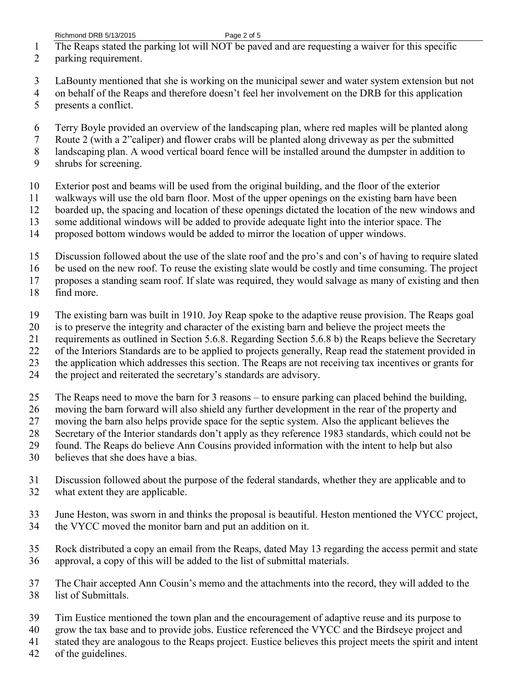- The Reaps stated the parking lot will NOT be paved and are requesting a waiver for this specific
- parking requirement.
- LaBounty mentioned that she is working on the municipal sewer and water system extension but not
- on behalf of the Reaps and therefore doesn't feel her involvement on the DRB for this application presents a conflict.
- Terry Boyle provided an overview of the landscaping plan, where red maples will be planted along
- Route 2 (with a 2"caliper) and flower crabs will be planted along driveway as per the submitted
- landscaping plan. A wood vertical board fence will be installed around the dumpster in addition to
- shrubs for screening.
- Exterior post and beams will be used from the original building, and the floor of the exterior
- walkways will use the old barn floor. Most of the upper openings on the existing barn have been
- boarded up, the spacing and location of these openings dictated the location of the new windows and
- some additional windows will be added to provide adequate light into the interior space. The
- proposed bottom windows would be added to mirror the location of upper windows.
- Discussion followed about the use of the slate roof and the pro's and con's of having to require slated
- be used on the new roof. To reuse the existing slate would be costly and time consuming. The project

proposes a standing seam roof. If slate was required, they would salvage as many of existing and then

- find more.
- The existing barn was built in 1910. Joy Reap spoke to the adaptive reuse provision. The Reaps goal
- is to preserve the integrity and character of the existing barn and believe the project meets the
- requirements as outlined in Section 5.6.8. Regarding Section 5.6.8 b) the Reaps believe the Secretary
- of the Interiors Standards are to be applied to projects generally, Reap read the statement provided in
- the application which addresses this section. The Reaps are not receiving tax incentives or grants for
- the project and reiterated the secretary's standards are advisory.
- The Reaps need to move the barn for 3 reasons to ensure parking can placed behind the building,
- moving the barn forward will also shield any further development in the rear of the property and
- moving the barn also helps provide space for the septic system. Also the applicant believes the
- Secretary of the Interior standards don't apply as they reference 1983 standards, which could not be
- found. The Reaps do believe Ann Cousins provided information with the intent to help but also
- believes that she does have a bias.
- Discussion followed about the purpose of the federal standards, whether they are applicable and to what extent they are applicable.
- June Heston, was sworn in and thinks the proposal is beautiful. Heston mentioned the VYCC project,
- the VYCC moved the monitor barn and put an addition on it.
- Rock distributed a copy an email from the Reaps, dated May 13 regarding the access permit and state approval, a copy of this will be added to the list of submittal materials.
- The Chair accepted Ann Cousin's memo and the attachments into the record, they will added to the list of Submittals.
- Tim Eustice mentioned the town plan and the encouragement of adaptive reuse and its purpose to
- grow the tax base and to provide jobs. Eustice referenced the VYCC and the Birdseye project and
- stated they are analogous to the Reaps project. Eustice believes this project meets the spirit and intent
- of the guidelines.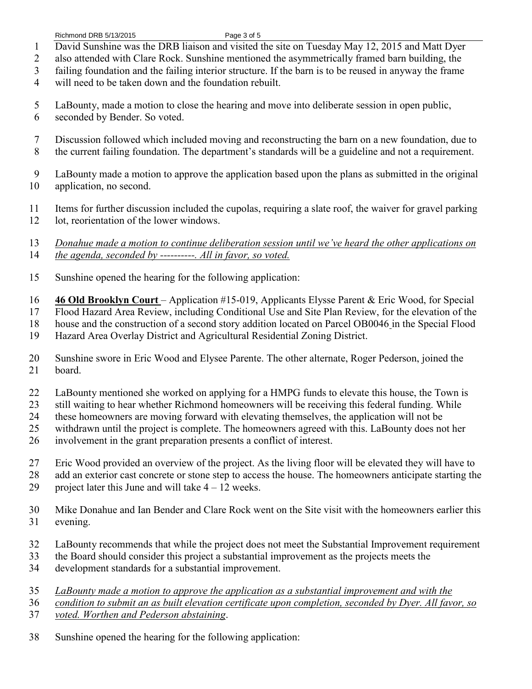- David Sunshine was the DRB liaison and visited the site on Tuesday May 12, 2015 and Matt Dyer
- also attended with Clare Rock. Sunshine mentioned the asymmetrically framed barn building, the
- failing foundation and the failing interior structure. If the barn is to be reused in anyway the frame
- will need to be taken down and the foundation rebuilt.
- LaBounty, made a motion to close the hearing and move into deliberate session in open public, seconded by Bender. So voted.
- Discussion followed which included moving and reconstructing the barn on a new foundation, due to
- the current failing foundation. The department's standards will be a guideline and not a requirement.
- LaBounty made a motion to approve the application based upon the plans as submitted in the original application, no second.
- Items for further discussion included the cupolas, requiring a slate roof, the waiver for gravel parking lot, reorientation of the lower windows.
- *Donahue made a motion to continue deliberation session until we've heard the other applications on the agenda, seconded by ----------. All in favor, so voted.*
- Sunshine opened the hearing for the following application:
- **46 Old Brooklyn Court** Application #15-019, Applicants Elysse Parent & Eric Wood, for Special
- Flood Hazard Area Review, including Conditional Use and Site Plan Review, for the elevation of the
- house and the construction of a second story addition located on Parcel OB0046 in the Special Flood
- Hazard Area Overlay District and Agricultural Residential Zoning District.
- Sunshine swore in Eric Wood and Elysee Parente. The other alternate, Roger Pederson, joined the board.
- LaBounty mentioned she worked on applying for a HMPG funds to elevate this house, the Town is
- still waiting to hear whether Richmond homeowners will be receiving this federal funding. While
- these homeowners are moving forward with elevating themselves, the application will not be
- withdrawn until the project is complete. The homeowners agreed with this. LaBounty does not her
- involvement in the grant preparation presents a conflict of interest.
- Eric Wood provided an overview of the project. As the living floor will be elevated they will have to
- 28 add an exterior cast concrete or stone step to access the house. The homeowners anticipate starting the 29 project later this June and will take  $4 - 12$  weeks.
- Mike Donahue and Ian Bender and Clare Rock went on the Site visit with the homeowners earlier this evening.
- LaBounty recommends that while the project does not meet the Substantial Improvement requirement
- the Board should consider this project a substantial improvement as the projects meets the
- development standards for a substantial improvement.
- *LaBounty made a motion to approve the application as a substantial improvement and with the*
- *condition to submit an as built elevation certificate upon completion, seconded by Dyer. All favor, so*
- *voted. Worthen and Pederson abstaining*.
- Sunshine opened the hearing for the following application: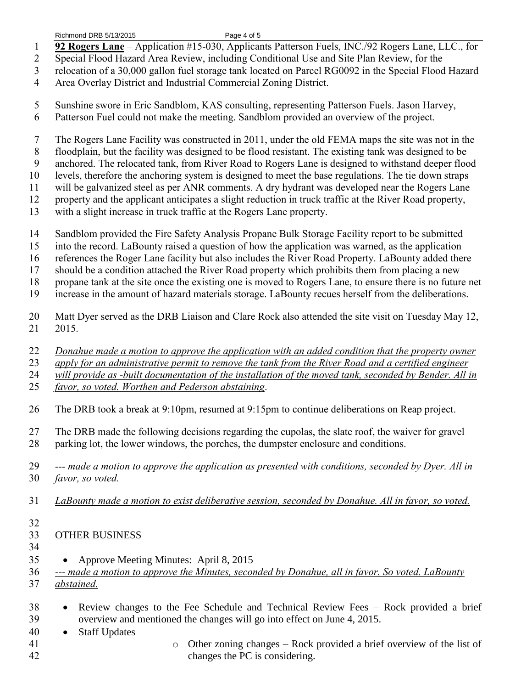- **92 Rogers Lane** Application #15-030, Applicants Patterson Fuels, INC./92 Rogers Lane, LLC., for
- Special Flood Hazard Area Review, including Conditional Use and Site Plan Review, for the
- relocation of a 30,000 gallon fuel storage tank located on Parcel RG0092 in the Special Flood Hazard
- Area Overlay District and Industrial Commercial Zoning District.
- Sunshine swore in Eric Sandblom, KAS consulting, representing Patterson Fuels. Jason Harvey, Patterson Fuel could not make the meeting. Sandblom provided an overview of the project.
- The Rogers Lane Facility was constructed in 2011, under the old FEMA maps the site was not in the
- floodplain, but the facility was designed to be flood resistant. The existing tank was designed to be
- anchored. The relocated tank, from River Road to Rogers Lane is designed to withstand deeper flood
- levels, therefore the anchoring system is designed to meet the base regulations. The tie down straps
- will be galvanized steel as per ANR comments. A dry hydrant was developed near the Rogers Lane
- property and the applicant anticipates a slight reduction in truck traffic at the River Road property,
- with a slight increase in truck traffic at the Rogers Lane property.
- Sandblom provided the Fire Safety Analysis Propane Bulk Storage Facility report to be submitted
- into the record. LaBounty raised a question of how the application was warned, as the application
- references the Roger Lane facility but also includes the River Road Property. LaBounty added there
- should be a condition attached the River Road property which prohibits them from placing a new
- propane tank at the site once the existing one is moved to Rogers Lane, to ensure there is no future net
- increase in the amount of hazard materials storage. LaBounty recues herself from the deliberations.
- Matt Dyer served as the DRB Liaison and Clare Rock also attended the site visit on Tuesday May 12, 2015.
- *Donahue made a motion to approve the application with an added condition that the property owner*
- *apply for an administrative permit to remove the tank from the River Road and a certified engineer*
- *will provide as -built documentation of the installation of the moved tank, seconded by Bender. All in*
- *favor, so voted. Worthen and Pederson abstaining*.
- The DRB took a break at 9:10pm, resumed at 9:15pm to continue deliberations on Reap project.
- The DRB made the following decisions regarding the cupolas, the slate roof, the waiver for gravel parking lot, the lower windows, the porches, the dumpster enclosure and conditions.
- *--- made a motion to approve the application as presented with conditions, seconded by Dyer. All in favor, so voted.*
- *LaBounty made a motion to exist deliberative session, seconded by Donahue. All in favor, so voted.*
- 

## OTHER BUSINESS

- 
- Approve Meeting Minutes: April 8, 2015

 *--- made a motion to approve the Minutes, seconded by Donahue, all in favor. So voted. LaBounty abstained.* 

- Review changes to the Fee Schedule and Technical Review Fees Rock provided a brief overview and mentioned the changes will go into effect on June 4, 2015.
- Staff Updates
- o Other zoning changes Rock provided a brief overview of the list of changes the PC is considering.
-